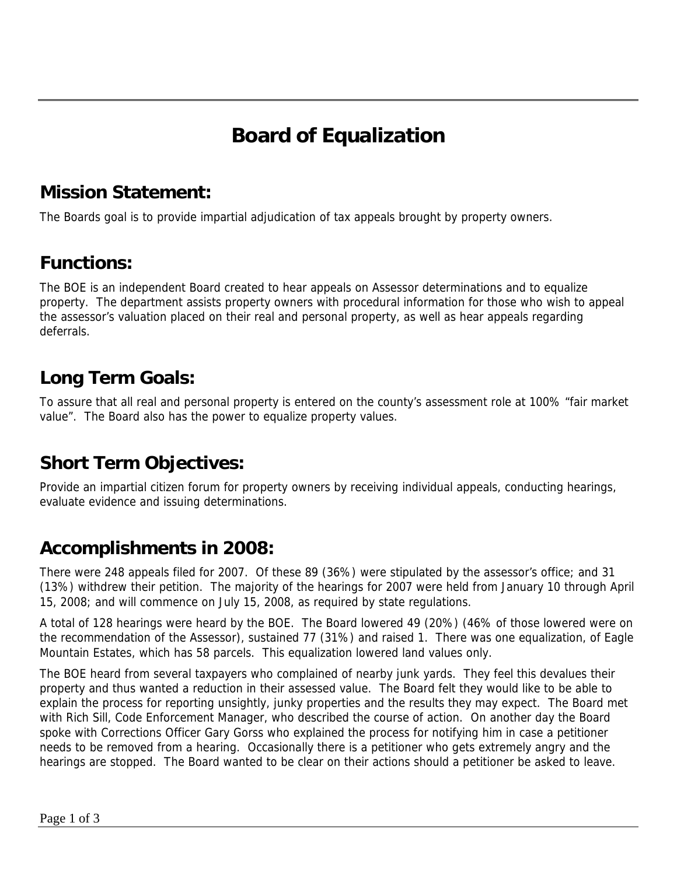# **Board of Equalization**

#### **Mission Statement:**

The Boards goal is to provide impartial adjudication of tax appeals brought by property owners.

#### **Functions:**

The BOE is an independent Board created to hear appeals on Assessor determinations and to equalize property. The department assists property owners with procedural information for those who wish to appeal the assessor's valuation placed on their real and personal property, as well as hear appeals regarding deferrals.

### **Long Term Goals:**

To assure that all real and personal property is entered on the county's assessment role at 100% "fair market value". The Board also has the power to equalize property values.

## **Short Term Objectives:**

Provide an impartial citizen forum for property owners by receiving individual appeals, conducting hearings, evaluate evidence and issuing determinations.

## **Accomplishments in 2008:**

There were 248 appeals filed for 2007. Of these 89 (36%) were stipulated by the assessor's office; and 31 (13%) withdrew their petition. The majority of the hearings for 2007 were held from January 10 through April 15, 2008; and will commence on July 15, 2008, as required by state regulations.

A total of 128 hearings were heard by the BOE. The Board lowered 49 (20%) (46% of those lowered were on the recommendation of the Assessor), sustained 77 (31%) and raised 1. There was one equalization, of Eagle Mountain Estates, which has 58 parcels. This equalization lowered land values only.

The BOE heard from several taxpayers who complained of nearby junk yards. They feel this devalues their property and thus wanted a reduction in their assessed value. The Board felt they would like to be able to explain the process for reporting unsightly, junky properties and the results they may expect. The Board met with Rich Sill, Code Enforcement Manager, who described the course of action. On another day the Board spoke with Corrections Officer Gary Gorss who explained the process for notifying him in case a petitioner needs to be removed from a hearing. Occasionally there is a petitioner who gets extremely angry and the hearings are stopped. The Board wanted to be clear on their actions should a petitioner be asked to leave.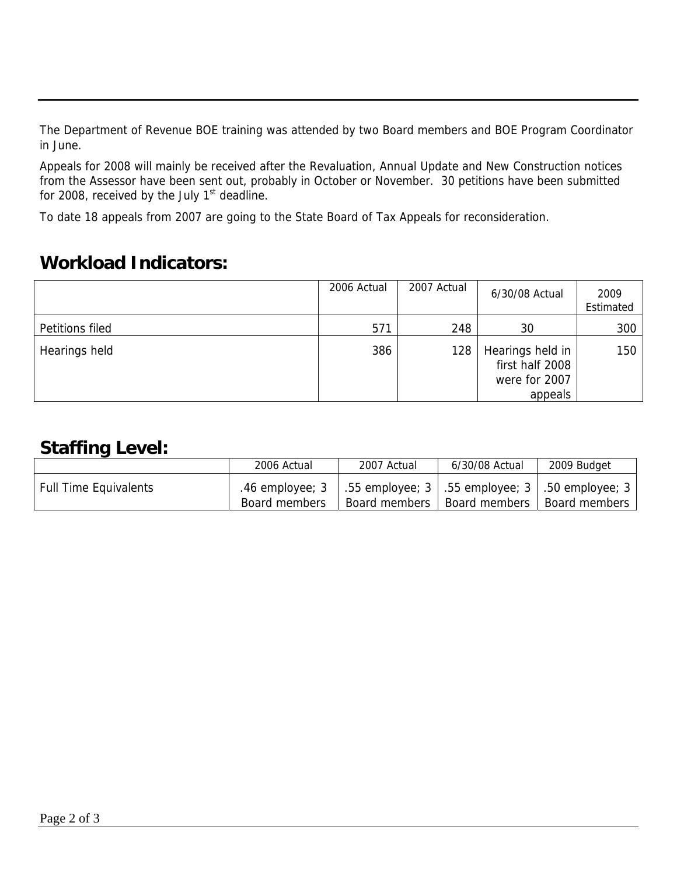The Department of Revenue BOE training was attended by two Board members and BOE Program Coordinator in June.

Appeals for 2008 will mainly be received after the Revaluation, Annual Update and New Construction notices from the Assessor have been sent out, probably in October or November. 30 petitions have been submitted for 2008, received by the July  $1<sup>st</sup>$  deadline.

To date 18 appeals from 2007 are going to the State Board of Tax Appeals for reconsideration.

#### **Workload Indicators:**

|                 | 2006 Actual | 2007 Actual | 6/30/08 Actual                                                  | 2009<br>Estimated |
|-----------------|-------------|-------------|-----------------------------------------------------------------|-------------------|
| Petitions filed | 571         | 248         | 30                                                              | 300               |
| Hearings held   | 386         | 128         | Hearings held in<br>first half 2008<br>were for 2007<br>appeals | 150               |

#### **Staffing Level:**

|                              | 2006 Actual   | 2007 Actual                                                                              | 6/30/08 Actual | 2009 Budget   |
|------------------------------|---------------|------------------------------------------------------------------------------------------|----------------|---------------|
| <b>Full Time Equivalents</b> | Board members | .46 employee; 3   .55 employee; 3   .55 employee; 3   .50 employee; 3  <br>Board members | Board members  | Board members |